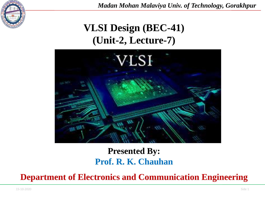

*Madan Mohan Malaviya Univ. of Technology, Gorakhpur*

# **VLSI Design (BEC-41) (Unit-2, Lecture-7)**



#### **Presented By: Prof. R. K. Chauhan**

**Department of Electronics and Communication Engineering**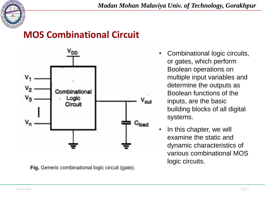



**Fig.** Generic combinational logic circuit (gate).

- Combinational logic circuits, or gates, which perform Boolean operations on multiple input variables and determine the outputs as Boolean functions of the inputs, are the basic building blocks of all digital systems.
- In this chapter, we will examine the static and dynamic characteristics of various combinational MOS logic circuits.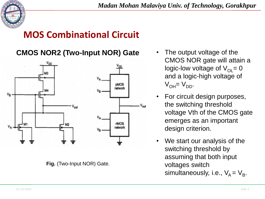

**CMOS NOR2 (Two-Input NOR) Gate** • The output voltage of the



**Fig.** (Two-Input NOR) Gate.

- CMOS NOR gate will attain a logic-low voltage of  $V_{\text{O}}= 0$ and a logic-high voltage of  $V_{OH} = V_{DD}$ .
- For circuit design purposes, the switching threshold voltage Vth of the CMOS gate emerges as an important design criterion.
- We start our analysis of the switching threshold by assuming that both input voltages switch simultaneously, i.e.,  $\mathsf{V}_{\mathsf{A}} \mathsf{=} \mathsf{V}_{\mathsf{B}}$ .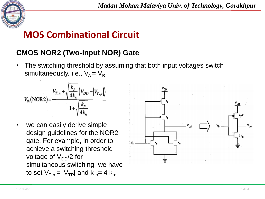

#### **CMOS NOR2 (Two-Input NOR) Gate**

The switching threshold by assuming that both input voltages switch simultaneously, i.e.,  $V_A = V_B$ .

$$
V_{th}(\text{NOR2}) = \frac{V_{T,n} + \sqrt{\frac{k_p}{4k_n}} \left(V_{DD} - \left|V_{T,p}\right|\right)}{1 + \sqrt{\frac{k_p}{4k_n}}}
$$

we can easily derive simple design guidelines for the NOR2 gate. For example, in order to achieve a switching threshold voltage of  $V_{DD}/2$  for simultaneous switching, we have to set  $V_{T,n} = N_{TP}$  and k <sub>p</sub>= 4 k<sub>n</sub>.

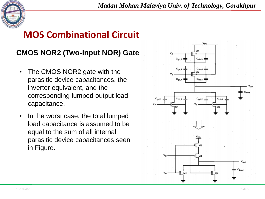

#### **CMOS NOR2 (Two-Input NOR) Gate**

- The CMOS NOR2 gate with the parasitic device capacitances, the inverter equivalent, and the corresponding lumped output load capacitance.
- In the worst case, the total lumped load capacitance is assumed to be equal to the sum of all internal parasitic device capacitances seen in Figure.

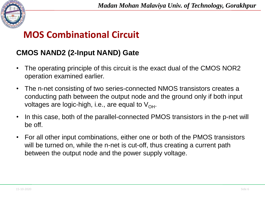

#### **CMOS NAND2 (2-Input NAND) Gate**

- The operating principle of this circuit is the exact dual of the CMOS NOR2 operation examined earlier.
- The n-net consisting of two series-connected NMOS transistors creates a conducting path between the output node and the ground only if both input voltages are logic-high, i.e., are equal to  $V_{\text{OH}}$ .
- In this case, both of the parallel-connected PMOS transistors in the p-net will be off.
- For all other input combinations, either one or both of the PMOS transistors will be turned on, while the n-net is cut-off, thus creating a current path between the output node and the power supply voltage.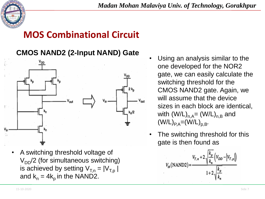

#### **CMOS NAND2 (2-Input NAND) Gate**



• A switching threshold voltage of  $V_{DD}/2$  (for simultaneous switching) is achieved by setting  $V_{T,n} = |V_{T,n}|$ and  $k_n = 4k_p$  in the NAND2.

- Using an analysis similar to the one developed for the NOR2 gate, we can easily calculate the switching threshold for the CMOS NAND2 gate. Again, we will assume that the device sizes in each block are identical, with  $(W/L)_{n,A}=(W/L)_{n,B}$  and  $(W/L)_{P,A} = (W/L)_{D,B}$ .
- The switching threshold for this gate is then found as

$$
V_{th}(\text{NAND2}) = \frac{V_{T,n} + 2\sqrt{\frac{k_p}{k_n}}\left(V_{DD} - \left|V_{T,p}\right|\right)}{1 + 2\sqrt{\frac{k_p}{k_n}}}
$$